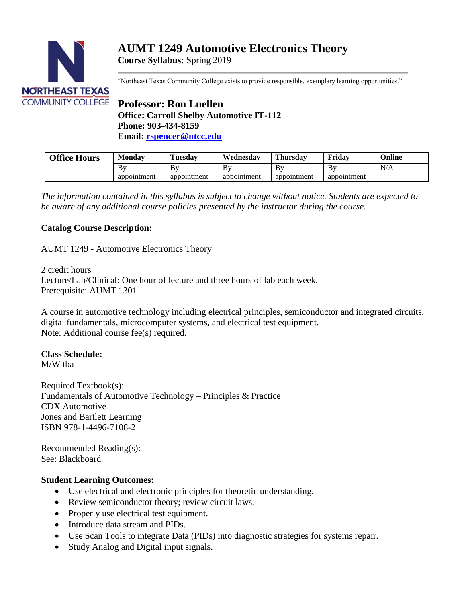

"Northeast Texas Community College exists to provide responsible, exemplary learning opportunities."

# **Professor: Ron Luellen Office: Carroll Shelby Automotive IT-112 Phone: 903-434-8159 Email: [rspencer@ntcc.edu](mailto:rspencer@ntcc.edu)**

| <b>Office Hours</b> | <b>Monday</b> | Tuesday     | Wednesdav   | <b>Thursday</b> | Fridav      | Online |
|---------------------|---------------|-------------|-------------|-----------------|-------------|--------|
|                     | Βy            | Bv          | Βy          | B١              | Bv          | N/A    |
|                     | appointment   | appointment | appointment | appointment     | appointment |        |

*The information contained in this syllabus is subject to change without notice. Students are expected to be aware of any additional course policies presented by the instructor during the course.*

## **Catalog Course Description:**

AUMT 1249 - Automotive Electronics Theory

2 credit hours Lecture/Lab/Clinical: One hour of lecture and three hours of lab each week. Prerequisite: AUMT 1301

A course in automotive technology including electrical principles, semiconductor and integrated circuits, digital fundamentals, microcomputer systems, and electrical test equipment. Note: Additional course fee(s) required.

### **Class Schedule:**

M/W tba

Required Textbook(s): Fundamentals of Automotive Technology – Principles & Practice CDX Automotive Jones and Bartlett Learning ISBN 978-1-4496-7108-2

Recommended Reading(s): See: Blackboard

### **Student Learning Outcomes:**

- Use electrical and electronic principles for theoretic understanding.
- Review semiconductor theory; review circuit laws.
- Properly use electrical test equipment.
- Introduce data stream and PIDs.
- Use Scan Tools to integrate Data (PIDs) into diagnostic strategies for systems repair.
- Study Analog and Digital input signals.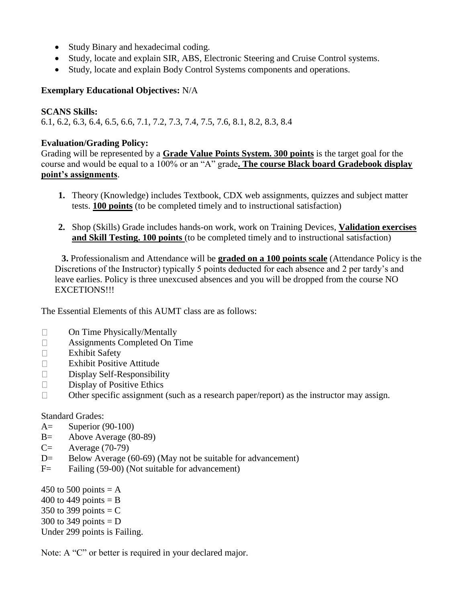- Study Binary and hexadecimal coding.
- Study, locate and explain SIR, ABS, Electronic Steering and Cruise Control systems.
- Study, locate and explain Body Control Systems components and operations.

#### **Exemplary Educational Objectives:** N/A

#### **SCANS Skills:**

6.1, 6.2, 6.3, 6.4, 6.5, 6.6, 7.1, 7.2, 7.3, 7.4, 7.5, 7.6, 8.1, 8.2, 8.3, 8.4

#### **Evaluation/Grading Policy:**

Grading will be represented by a **Grade Value Points System. 300 points** is the target goal for the course and would be equal to a 100% or an "A" grade**. The course Black board Gradebook display point's assignments**.

- **1.** Theory (Knowledge) includes Textbook, CDX web assignments, quizzes and subject matter tests. **100 points** (to be completed timely and to instructional satisfaction)
- **2.** Shop (Skills) Grade includes hands-on work, work on Training Devices, **Validation exercises and Skill Testing. 100 points** (to be completed timely and to instructional satisfaction)

 **3.** Professionalism and Attendance will be **graded on a 100 points scale** (Attendance Policy is the Discretions of the Instructor) typically 5 points deducted for each absence and 2 per tardy's and leave earlies. Policy is three unexcused absences and you will be dropped from the course NO EXCETIONS!!!

The Essential Elements of this AUMT class are as follows:

- On Time Physically/Mentally  $\Box$
- $\Box$ Assignments Completed On Time
- $\Box$ Exhibit Safety
- $\Box$ Exhibit Positive Attitude
- $\Box$ Display Self-Responsibility
- $\Box$ Display of Positive Ethics
- $\Box$ Other specific assignment (such as a research paper/report) as the instructor may assign.

#### Standard Grades:

- A= Superior (90-100)
- B= Above Average (80-89)
- $C=$  Average (70-79)
- D= Below Average (60-69) (May not be suitable for advancement)
- F= Failing (59-00) (Not suitable for advancement)

450 to 500 points  $= A$ 

- 400 to 449 points  $=$  B
- 350 to 399 points  $=$  C
- 300 to 349 points  $= D$

Under 299 points is Failing.

Note: A "C" or better is required in your declared major.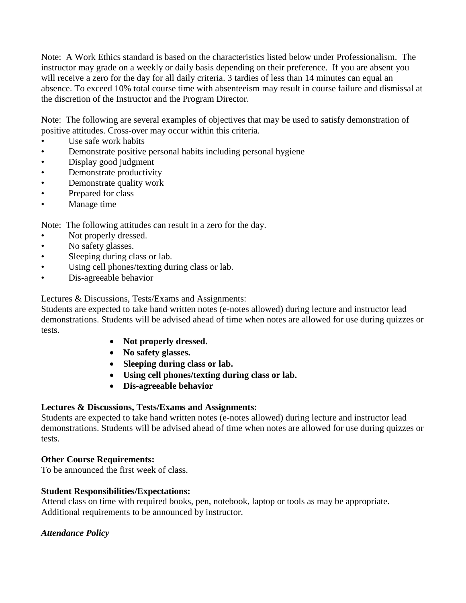Note: A Work Ethics standard is based on the characteristics listed below under Professionalism. The instructor may grade on a weekly or daily basis depending on their preference. If you are absent you will receive a zero for the day for all daily criteria. 3 tardies of less than 14 minutes can equal an absence. To exceed 10% total course time with absenteeism may result in course failure and dismissal at the discretion of the Instructor and the Program Director.

Note: The following are several examples of objectives that may be used to satisfy demonstration of positive attitudes. Cross-over may occur within this criteria.

- Use safe work habits
- Demonstrate positive personal habits including personal hygiene
- Display good judgment
- Demonstrate productivity
- Demonstrate quality work
- Prepared for class
- Manage time

Note: The following attitudes can result in a zero for the day.

- Not properly dressed.
- No safety glasses.
- Sleeping during class or lab.
- Using cell phones/texting during class or lab.
- Dis-agreeable behavior

Lectures & Discussions, Tests/Exams and Assignments:

Students are expected to take hand written notes (e-notes allowed) during lecture and instructor lead demonstrations. Students will be advised ahead of time when notes are allowed for use during quizzes or tests.

- **Not properly dressed.**
- **No safety glasses.**
- **Sleeping during class or lab.**
- **Using cell phones/texting during class or lab.**
- **Dis-agreeable behavior**

### **Lectures & Discussions, Tests/Exams and Assignments:**

Students are expected to take hand written notes (e-notes allowed) during lecture and instructor lead demonstrations. Students will be advised ahead of time when notes are allowed for use during quizzes or tests.

### **Other Course Requirements:**

To be announced the first week of class.

### **Student Responsibilities/Expectations:**

Attend class on time with required books, pen, notebook, laptop or tools as may be appropriate. Additional requirements to be announced by instructor.

### *Attendance Policy*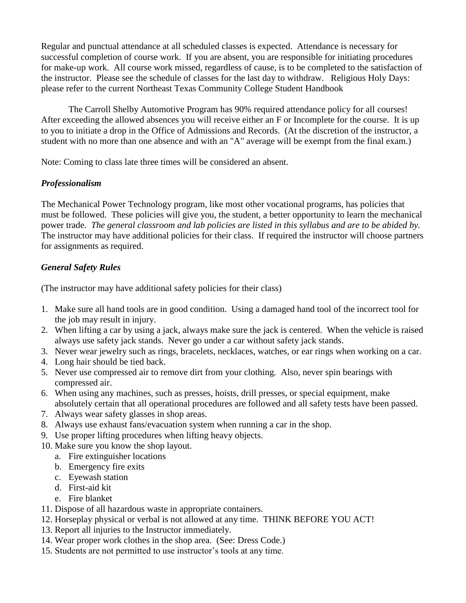Regular and punctual attendance at all scheduled classes is expected. Attendance is necessary for successful completion of course work. If you are absent, you are responsible for initiating procedures for make-up work. All course work missed, regardless of cause, is to be completed to the satisfaction of the instructor. Please see the schedule of classes for the last day to withdraw. Religious Holy Days: please refer to the current Northeast Texas Community College Student Handbook

The Carroll Shelby Automotive Program has 90% required attendance policy for all courses! After exceeding the allowed absences you will receive either an F or Incomplete for the course. It is up to you to initiate a drop in the Office of Admissions and Records. (At the discretion of the instructor, a student with no more than one absence and with an "A" average will be exempt from the final exam.)

Note: Coming to class late three times will be considered an absent.

### *Professionalism*

The Mechanical Power Technology program, like most other vocational programs, has policies that must be followed. These policies will give you, the student, a better opportunity to learn the mechanical power trade. *The general classroom and lab policies are listed in this syllabus and are to be abided by.*  The instructor may have additional policies for their class. If required the instructor will choose partners for assignments as required.

## *General Safety Rules*

(The instructor may have additional safety policies for their class)

- 1. Make sure all hand tools are in good condition. Using a damaged hand tool of the incorrect tool for the job may result in injury.
- 2. When lifting a car by using a jack, always make sure the jack is centered. When the vehicle is raised always use safety jack stands. Never go under a car without safety jack stands.
- 3. Never wear jewelry such as rings, bracelets, necklaces, watches, or ear rings when working on a car.
- 4. Long hair should be tied back.
- 5. Never use compressed air to remove dirt from your clothing. Also, never spin bearings with compressed air.
- 6. When using any machines, such as presses, hoists, drill presses, or special equipment, make absolutely certain that all operational procedures are followed and all safety tests have been passed.
- 7. Always wear safety glasses in shop areas.
- 8. Always use exhaust fans/evacuation system when running a car in the shop.
- 9. Use proper lifting procedures when lifting heavy objects.
- 10. Make sure you know the shop layout.
	- a. Fire extinguisher locations
	- b. Emergency fire exits
	- c. Eyewash station
	- d. First-aid kit
	- e. Fire blanket
- 11. Dispose of all hazardous waste in appropriate containers.
- 12. Horseplay physical or verbal is not allowed at any time. THINK BEFORE YOU ACT!
- 13. Report all injuries to the Instructor immediately.
- 14. Wear proper work clothes in the shop area. (See: Dress Code.)
- 15. Students are not permitted to use instructor's tools at any time.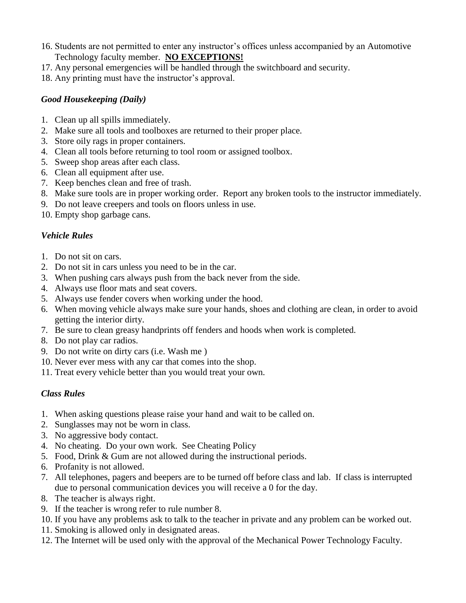- 16. Students are not permitted to enter any instructor's offices unless accompanied by an Automotive Technology faculty member. **NO EXCEPTIONS!**
- 17. Any personal emergencies will be handled through the switchboard and security.
- 18. Any printing must have the instructor's approval.

### *Good Housekeeping (Daily)*

- 1. Clean up all spills immediately.
- 2. Make sure all tools and toolboxes are returned to their proper place.
- 3. Store oily rags in proper containers.
- 4. Clean all tools before returning to tool room or assigned toolbox.
- 5. Sweep shop areas after each class.
- 6. Clean all equipment after use.
- 7. Keep benches clean and free of trash.
- 8. Make sure tools are in proper working order. Report any broken tools to the instructor immediately.
- 9. Do not leave creepers and tools on floors unless in use.
- 10. Empty shop garbage cans.

#### *Vehicle Rules*

- 1. Do not sit on cars.
- 2. Do not sit in cars unless you need to be in the car.
- 3. When pushing cars always push from the back never from the side.
- 4. Always use floor mats and seat covers.
- 5. Always use fender covers when working under the hood.
- 6. When moving vehicle always make sure your hands, shoes and clothing are clean, in order to avoid getting the interior dirty.
- 7. Be sure to clean greasy handprints off fenders and hoods when work is completed.
- 8. Do not play car radios.
- 9. Do not write on dirty cars (i.e. Wash me )
- 10. Never ever mess with any car that comes into the shop.
- 11. Treat every vehicle better than you would treat your own.

### *Class Rules*

- 1. When asking questions please raise your hand and wait to be called on.
- 2. Sunglasses may not be worn in class.
- 3. No aggressive body contact.
- 4. No cheating. Do your own work. See Cheating Policy
- 5. Food, Drink & Gum are not allowed during the instructional periods.
- 6. Profanity is not allowed.
- 7. All telephones, pagers and beepers are to be turned off before class and lab. If class is interrupted due to personal communication devices you will receive a 0 for the day.
- 8. The teacher is always right.
- 9. If the teacher is wrong refer to rule number 8.
- 10. If you have any problems ask to talk to the teacher in private and any problem can be worked out.
- 11. Smoking is allowed only in designated areas.
- 12. The Internet will be used only with the approval of the Mechanical Power Technology Faculty.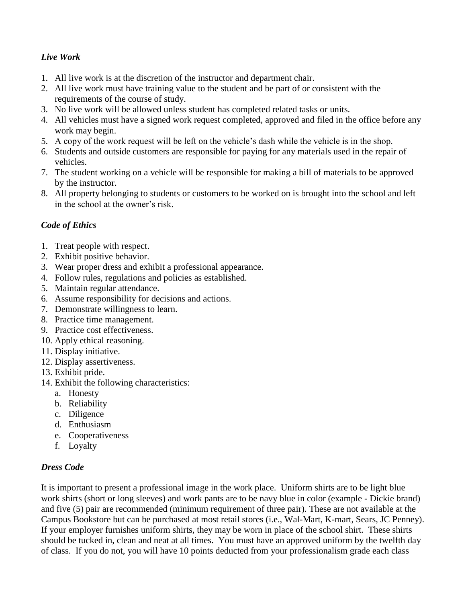## *Live Work*

- 1. All live work is at the discretion of the instructor and department chair.
- 2. All live work must have training value to the student and be part of or consistent with the requirements of the course of study.
- 3. No live work will be allowed unless student has completed related tasks or units.
- 4. All vehicles must have a signed work request completed, approved and filed in the office before any work may begin.
- 5. A copy of the work request will be left on the vehicle's dash while the vehicle is in the shop.
- 6. Students and outside customers are responsible for paying for any materials used in the repair of vehicles.
- 7. The student working on a vehicle will be responsible for making a bill of materials to be approved by the instructor.
- 8. All property belonging to students or customers to be worked on is brought into the school and left in the school at the owner's risk.

## *Code of Ethics*

- 1. Treat people with respect.
- 2. Exhibit positive behavior.
- 3. Wear proper dress and exhibit a professional appearance.
- 4. Follow rules, regulations and policies as established.
- 5. Maintain regular attendance.
- 6. Assume responsibility for decisions and actions.
- 7. Demonstrate willingness to learn.
- 8. Practice time management.
- 9. Practice cost effectiveness.
- 10. Apply ethical reasoning.
- 11. Display initiative.
- 12. Display assertiveness.
- 13. Exhibit pride.
- 14. Exhibit the following characteristics:
	- a. Honesty
	- b. Reliability
	- c. Diligence
	- d. Enthusiasm
	- e. Cooperativeness
	- f. Loyalty

## *Dress Code*

It is important to present a professional image in the work place. Uniform shirts are to be light blue work shirts (short or long sleeves) and work pants are to be navy blue in color (example - Dickie brand) and five (5) pair are recommended (minimum requirement of three pair). These are not available at the Campus Bookstore but can be purchased at most retail stores (i.e., Wal-Mart, K-mart, Sears, JC Penney). If your employer furnishes uniform shirts, they may be worn in place of the school shirt. These shirts should be tucked in, clean and neat at all times. You must have an approved uniform by the twelfth day of class. If you do not, you will have 10 points deducted from your professionalism grade each class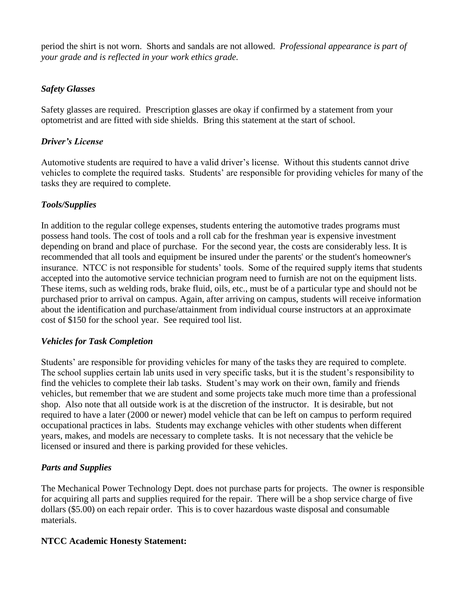period the shirt is not worn. Shorts and sandals are not allowed. *Professional appearance is part of your grade and is reflected in your work ethics grade.*

### *Safety Glasses*

Safety glasses are required. Prescription glasses are okay if confirmed by a statement from your optometrist and are fitted with side shields. Bring this statement at the start of school.

## *Driver's License*

Automotive students are required to have a valid driver's license. Without this students cannot drive vehicles to complete the required tasks. Students' are responsible for providing vehicles for many of the tasks they are required to complete.

## *Tools/Supplies*

In addition to the regular college expenses, students entering the automotive trades programs must possess hand tools. The cost of tools and a roll cab for the freshman year is expensive investment depending on brand and place of purchase. For the second year, the costs are considerably less. It is recommended that all tools and equipment be insured under the parents' or the student's homeowner's insurance. NTCC is not responsible for students' tools. Some of the required supply items that students accepted into the automotive service technician program need to furnish are not on the equipment lists. These items, such as welding rods, brake fluid, oils, etc., must be of a particular type and should not be purchased prior to arrival on campus. Again, after arriving on campus, students will receive information about the identification and purchase/attainment from individual course instructors at an approximate cost of \$150 for the school year. See required tool list.

### *Vehicles for Task Completion*

Students' are responsible for providing vehicles for many of the tasks they are required to complete. The school supplies certain lab units used in very specific tasks, but it is the student's responsibility to find the vehicles to complete their lab tasks. Student's may work on their own, family and friends vehicles, but remember that we are student and some projects take much more time than a professional shop. Also note that all outside work is at the discretion of the instructor. It is desirable, but not required to have a later (2000 or newer) model vehicle that can be left on campus to perform required occupational practices in labs. Students may exchange vehicles with other students when different years, makes, and models are necessary to complete tasks. It is not necessary that the vehicle be licensed or insured and there is parking provided for these vehicles.

## *Parts and Supplies*

The Mechanical Power Technology Dept. does not purchase parts for projects. The owner is responsible for acquiring all parts and supplies required for the repair. There will be a shop service charge of five dollars (\$5.00) on each repair order. This is to cover hazardous waste disposal and consumable materials.

### **NTCC Academic Honesty Statement:**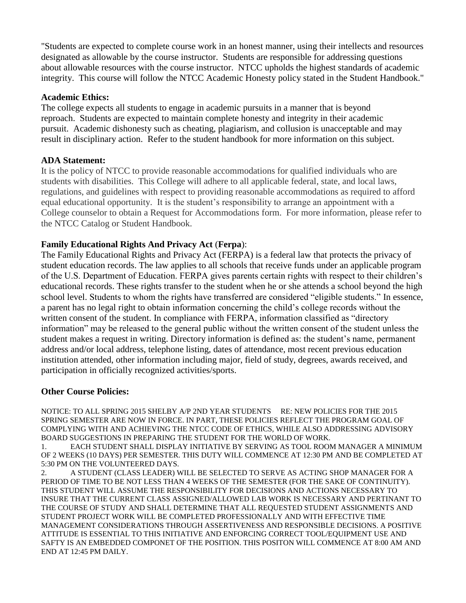"Students are expected to complete course work in an honest manner, using their intellects and resources designated as allowable by the course instructor. Students are responsible for addressing questions about allowable resources with the course instructor. NTCC upholds the highest standards of academic integrity. This course will follow the NTCC Academic Honesty policy stated in the Student Handbook."

#### **Academic Ethics:**

The college expects all students to engage in academic pursuits in a manner that is beyond reproach. Students are expected to maintain complete honesty and integrity in their academic pursuit. Academic dishonesty such as cheating, plagiarism, and collusion is unacceptable and may result in disciplinary action. Refer to the student handbook for more information on this subject.

#### **ADA Statement:**

It is the policy of NTCC to provide reasonable accommodations for qualified individuals who are students with disabilities. This College will adhere to all applicable federal, state, and local laws, regulations, and guidelines with respect to providing reasonable accommodations as required to afford equal educational opportunity. It is the student's responsibility to arrange an appointment with a College counselor to obtain a Request for Accommodations form. For more information, please refer to the NTCC Catalog or Student Handbook.

#### **Family Educational Rights And Privacy Act** (**Ferpa**):

The Family Educational Rights and Privacy Act (FERPA) is a federal law that protects the privacy of student education records. The law applies to all schools that receive funds under an applicable program of the U.S. Department of Education. FERPA gives parents certain rights with respect to their children's educational records. These rights transfer to the student when he or she attends a school beyond the high school level. Students to whom the rights have transferred are considered "eligible students." In essence, a parent has no legal right to obtain information concerning the child's college records without the written consent of the student. In compliance with FERPA, information classified as "directory information" may be released to the general public without the written consent of the student unless the student makes a request in writing. Directory information is defined as: the student's name, permanent address and/or local address, telephone listing, dates of attendance, most recent previous education institution attended, other information including major, field of study, degrees, awards received, and participation in officially recognized activities/sports.

#### **Other Course Policies:**

NOTICE: TO ALL SPRING 2015 SHELBY A/P 2ND YEAR STUDENTS RE: NEW POLICIES FOR THE 2015 SPRING SEMESTER ARE NOW IN FORCE. IN PART, THESE POLICIES REFLECT THE PROGRAM GOAL OF COMPLYING WITH AND ACHIEVING THE NTCC CODE OF ETHICS, WHILE ALSO ADDRESSING ADVISORY BOARD SUGGESTIONS IN PREPARING THE STUDENT FOR THE WORLD OF WORK.

1. EACH STUDENT SHALL DISPLAY INITIATIVE BY SERVING AS TOOL ROOM MANAGER A MINIMUM OF 2 WEEKS (10 DAYS) PER SEMESTER. THIS DUTY WILL COMMENCE AT 12:30 PM AND BE COMPLETED AT 5:30 PM ON THE VOLUNTEERED DAYS.

2. A STUDENT (CLASS LEADER) WILL BE SELECTED TO SERVE AS ACTING SHOP MANAGER FOR A PERIOD OF TIME TO BE NOT LESS THAN 4 WEEKS OF THE SEMESTER (FOR THE SAKE OF CONTINUITY). THIS STUDENT WILL ASSUME THE RESPONSIBILITY FOR DECISIONS AND ACTIONS NECESSARY TO INSURE THAT THE CURRENT CLASS ASSIGNED/ALLOWED LAB WORK IS NECESSARY AND PERTINANT TO THE COURSE OF STUDY AND SHALL DETERMINE THAT ALL REQUESTED STUDENT ASSIGNMENTS AND STUDENT PROJECT WORK WILL BE COMPLETED PROFESSIONALLY AND WITH EFFECTIVE TIME MANAGEMENT CONSIDERATIONS THROUGH ASSERTIVENESS AND RESPONSIBLE DECISIONS. A POSITIVE ATTITUDE IS ESSENTIAL TO THIS INITIATIVE AND ENFORCING CORRECT TOOL/EQUIPMENT USE AND SAFTY IS AN EMBEDDED COMPONET OF THE POSITION. THIS POSITON WILL COMMENCE AT 8:00 AM AND END AT 12:45 PM DAILY.